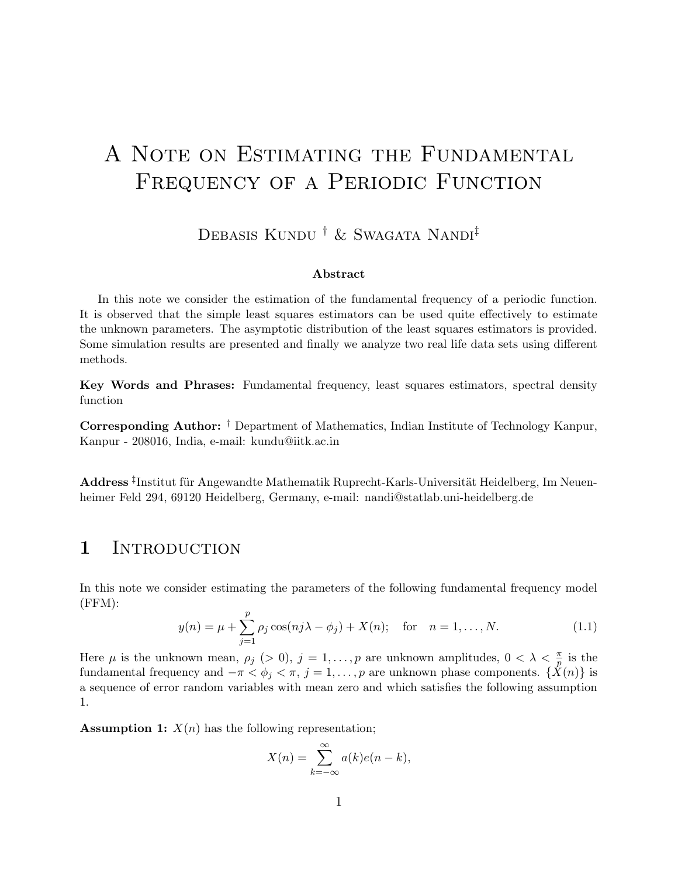# A Note on Estimating the Fundamental FREQUENCY OF A PERIODIC FUNCTION

DEBASIS KUNDU <sup>†</sup> & SWAGATA NANDI<sup>‡</sup>

### Abstract

In this note we consider the estimation of the fundamental frequency of a periodic function. It is observed that the simple least squares estimators can be used quite effectively to estimate the unknown parameters. The asymptotic distribution of the least squares estimators is provided. Some simulation results are presented and finally we analyze two real life data sets using different methods.

Key Words and Phrases: Fundamental frequency, least squares estimators, spectral density function

Corresponding Author: † Department of Mathematics, Indian Institute of Technology Kanpur, Kanpur - 208016, India, e-mail: kundu@iitk.ac.in

Address <sup>‡</sup>Institut für Angewandte Mathematik Ruprecht-Karls-Universität Heidelberg, Im Neuenheimer Feld 294, 69120 Heidelberg, Germany, e-mail: nandi@statlab.uni-heidelberg.de

### 1 INTRODUCTION

In this note we consider estimating the parameters of the following fundamental frequency model (FFM):

$$
y(n) = \mu + \sum_{j=1}^{p} \rho_j \cos(nj\lambda - \phi_j) + X(n); \text{ for } n = 1, ..., N.
$$
 (1.1)

Here  $\mu$  is the unknown mean,  $\rho_j$  (> 0),  $j = 1, \ldots, p$  are unknown amplitudes,  $0 < \lambda < \frac{\pi}{n}$  $\frac{\pi}{p}$  is the fundamental frequency and  $-\pi < \phi_i < \pi$ ,  $j = 1, \ldots, p$  are unknown phase components.  $\{\hat{X}(n)\}\$ is a sequence of error random variables with mean zero and which satisfies the following assumption 1.

**Assumption 1:**  $X(n)$  has the following representation;

$$
X(n) = \sum_{k=-\infty}^{\infty} a(k)e(n-k),
$$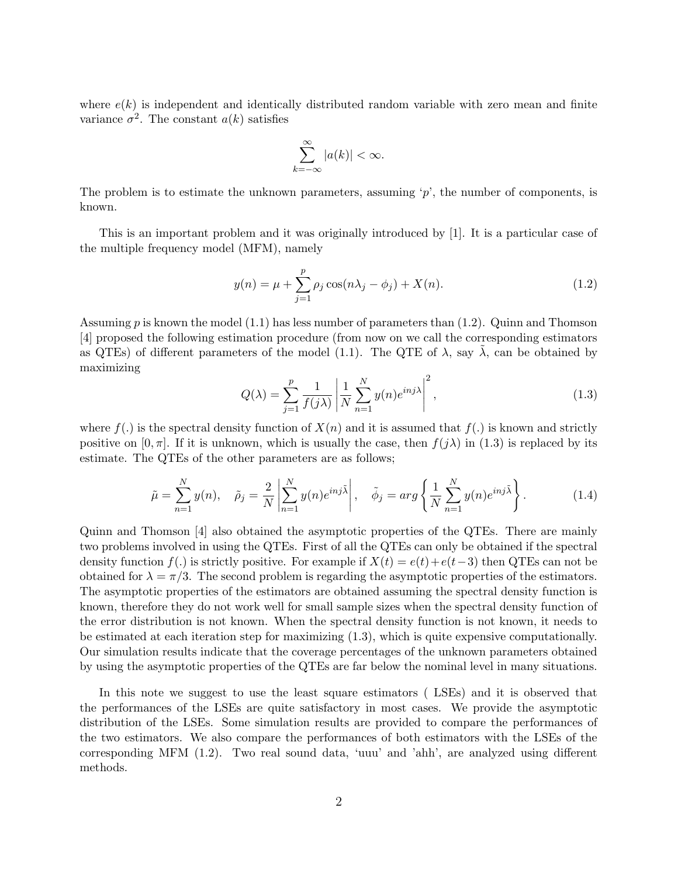where  $e(k)$  is independent and identically distributed random variable with zero mean and finite variance  $\sigma^2$ . The constant  $a(k)$  satisfies

$$
\sum_{k=-\infty}^{\infty} |a(k)| < \infty.
$$

The problem is to estimate the unknown parameters, assuming  $\gamma$ , the number of components, is known.

This is an important problem and it was originally introduced by [1]. It is a particular case of the multiple frequency model (MFM), namely

$$
y(n) = \mu + \sum_{j=1}^{p} \rho_j \cos(n\lambda_j - \phi_j) + X(n).
$$
 (1.2)

Assuming  $p$  is known the model (1.1) has less number of parameters than (1.2). Quinn and Thomson [4] proposed the following estimation procedure (from now on we call the corresponding estimators as QTEs) of different parameters of the model (1.1). The QTE of  $\lambda$ , say  $\lambda$ , can be obtained by maximizing

$$
Q(\lambda) = \sum_{j=1}^{p} \frac{1}{f(j\lambda)} \left| \frac{1}{N} \sum_{n=1}^{N} y(n) e^{inj\lambda} \right|^2,
$$
\n(1.3)

where  $f(.)$  is the spectral density function of  $X(n)$  and it is assumed that  $f(.)$  is known and strictly positive on  $[0, \pi]$ . If it is unknown, which is usually the case, then  $f(j\lambda)$  in (1.3) is replaced by its estimate. The QTEs of the other parameters are as follows;

$$
\tilde{\mu} = \sum_{n=1}^{N} y(n), \quad \tilde{\rho}_j = \frac{2}{N} \left| \sum_{n=1}^{N} y(n) e^{inj\tilde{\lambda}} \right|, \quad \tilde{\phi}_j = arg \left\{ \frac{1}{N} \sum_{n=1}^{N} y(n) e^{inj\tilde{\lambda}} \right\}.
$$
\n(1.4)

Quinn and Thomson [4] also obtained the asymptotic properties of the QTEs. There are mainly two problems involved in using the QTEs. First of all the QTEs can only be obtained if the spectral density function f(.) is strictly positive. For example if  $X(t) = e(t) + e(t-3)$  then QTEs can not be obtained for  $\lambda = \pi/3$ . The second problem is regarding the asymptotic properties of the estimators. The asymptotic properties of the estimators are obtained assuming the spectral density function is known, therefore they do not work well for small sample sizes when the spectral density function of the error distribution is not known. When the spectral density function is not known, it needs to be estimated at each iteration step for maximizing (1.3), which is quite expensive computationally. Our simulation results indicate that the coverage percentages of the unknown parameters obtained by using the asymptotic properties of the QTEs are far below the nominal level in many situations.

In this note we suggest to use the least square estimators ( LSEs) and it is observed that the performances of the LSEs are quite satisfactory in most cases. We provide the asymptotic distribution of the LSEs. Some simulation results are provided to compare the performances of the two estimators. We also compare the performances of both estimators with the LSEs of the corresponding MFM (1.2). Two real sound data, 'uuu' and 'ahh', are analyzed using different methods.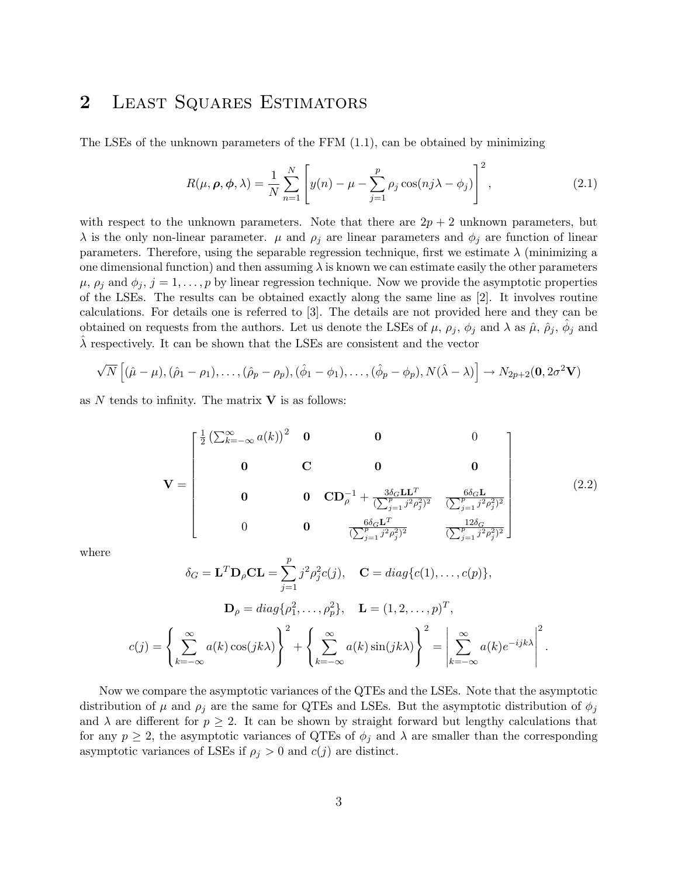# 2 LEAST SQUARES ESTIMATORS

The LSEs of the unknown parameters of the  $FFM(1.1)$ , can be obtained by minimizing

$$
R(\mu, \rho, \phi, \lambda) = \frac{1}{N} \sum_{n=1}^{N} \left[ y(n) - \mu - \sum_{j=1}^{p} \rho_j \cos(nj\lambda - \phi_j) \right]^2,
$$
\n(2.1)

with respect to the unknown parameters. Note that there are  $2p + 2$  unknown parameters, but  $\lambda$  is the only non-linear parameter.  $\mu$  and  $\rho_j$  are linear parameters and  $\phi_j$  are function of linear parameters. Therefore, using the separable regression technique, first we estimate  $\lambda$  (minimizing a one dimensional function) and then assuming  $\lambda$  is known we can estimate easily the other parameters  $\mu$ ,  $\rho_j$  and  $\phi_j$ ,  $j = 1, \ldots, p$  by linear regression technique. Now we provide the asymptotic properties of the LSEs. The results can be obtained exactly along the same line as [2]. It involves routine calculations. For details one is referred to [3]. The details are not provided here and they can be obtained on requests from the authors. Let us denote the LSEs of  $\mu$ ,  $\rho_j$ ,  $\phi_j$  and  $\lambda$  as  $\hat{\mu}$ ,  $\hat{\rho}_j$ ,  $\hat{\phi}_j$  and  $\lambda$  respectively. It can be shown that the LSEs are consistent and the vector

$$
\sqrt{N}\left[(\hat{\mu}-\mu),(\hat{\rho}_1-\rho_1),\ldots,(\hat{\rho}_p-\rho_p),(\hat{\phi}_1-\phi_1),\ldots,(\hat{\phi}_p-\phi_p),N(\hat{\lambda}-\lambda)\right]\rightarrow N_{2p+2}(\mathbf{0},2\sigma^2\mathbf{V})
$$

as  $N$  tends to infinity. The matrix  $V$  is as follows:

$$
\mathbf{V} = \begin{bmatrix} \frac{1}{2} \left( \sum_{k=-\infty}^{\infty} a(k) \right)^2 & \mathbf{0} & \mathbf{0} & 0 \\ \mathbf{0} & \mathbf{C} & \mathbf{0} & \mathbf{0} \\ \mathbf{0} & \mathbf{0} & \mathbf{C} \mathbf{D}_{\rho}^{-1} + \frac{3\delta_{G} \mathbf{L} \mathbf{L}^{T}}{\left( \sum_{j=1}^{P} j^{2} \rho_{j}^{2} \right)^{2}} & \frac{6\delta_{G} \mathbf{L}}{\left( \sum_{j=1}^{P} j^{2} \rho_{j}^{2} \right)^{2}} \\ 0 & \mathbf{0} & \frac{6\delta_{G} \mathbf{L}^{T}}{\left( \sum_{j=1}^{P} j^{2} \rho_{j}^{2} \right)^{2}} & \frac{12\delta_{G}}{\left( \sum_{j=1}^{P} j^{2} \rho_{j}^{2} \right)^{2}} \end{bmatrix}
$$
(2.2)

where

$$
\delta_G = \mathbf{L}^T \mathbf{D}_{\rho} \mathbf{C} \mathbf{L} = \sum_{j=1}^p j^2 \rho_j^2 c(j), \quad \mathbf{C} = diag\{c(1), \dots, c(p)\},
$$

$$
\mathbf{D}_{\rho} = diag\{\rho_1^2, \dots, \rho_p^2\}, \quad \mathbf{L} = (1, 2, \dots, p)^T,
$$

$$
c(j) = \left\{\sum_{k=-\infty}^{\infty} a(k) \cos(jk\lambda)\right\}^2 + \left\{\sum_{k=-\infty}^{\infty} a(k) \sin(jk\lambda)\right\}^2 = \left|\sum_{k=-\infty}^{\infty} a(k) e^{-ijk\lambda}\right|^2.
$$

Now we compare the asymptotic variances of the QTEs and the LSEs. Note that the asymptotic distribution of  $\mu$  and  $\rho_j$  are the same for QTEs and LSEs. But the asymptotic distribution of  $\phi_j$ and  $\lambda$  are different for  $p \geq 2$ . It can be shown by straight forward but lengthy calculations that for any  $p \geq 2$ , the asymptotic variances of QTEs of  $\phi_i$  and  $\lambda$  are smaller than the corresponding asymptotic variances of LSEs if  $\rho_j > 0$  and  $c(j)$  are distinct.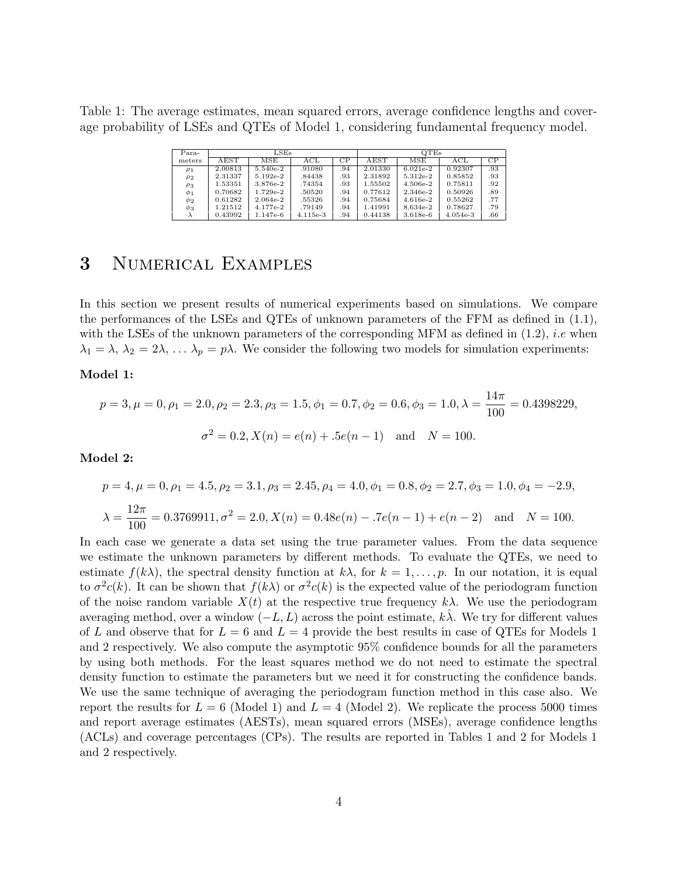Table 1: The average estimates, mean squared errors, average confidence lengths and coverage probability of LSEs and QTEs of Model 1, considering fundamental frequency model.

| Para-    | LSEs         |            |            | OTEs |              |            |            |     |
|----------|--------------|------------|------------|------|--------------|------------|------------|-----|
| meters   | ${\rm AEST}$ | MSE        | ACL        | СP   | ${\rm AEST}$ | MSE        | ACL        | CP  |
| $\rho_1$ | 2.00813      | 5.540e-2   | .91080     | .94  | 2.01330      | $6.021e-2$ | 0.92307    | .93 |
| $\rho_2$ | 2.31337      | $5.192e-2$ | .84438     | .93  | 2.31892      | $5.312e-2$ | 0.85852    | .93 |
| $\rho_3$ | 1.53351      | 3.876e-2   | .74354     | .93  | 1.55502      | $4.506e-2$ | 0.75811    | .92 |
| $\phi_1$ | 0.70682      | $1.729e-2$ | .50520     | .94  | 0.77612      | 2.346e-2   | 0.50926    | .89 |
| $\phi_2$ | 0.61282      | $2.064e-2$ | .55326     | .94  | 0.75684      | $4.616e-2$ | 0.55262    | .77 |
| $\phi_3$ | 1.21512      | $4.177e-2$ | .79149     | .94  | 1.41991      | 8.634e-2   | 0.78627    | .79 |
|          | 0.43992      | $1.147e-6$ | $4.115e-3$ | .94  | 0.44138      | $3.618e-6$ | $4.054e-3$ | .66 |

## 3 Numerical Examples

In this section we present results of numerical experiments based on simulations. We compare the performances of the LSEs and QTEs of unknown parameters of the FFM as defined in (1.1), with the LSEs of the unknown parameters of the corresponding MFM as defined in  $(1.2)$ , *i.e* when  $\lambda_1 = \lambda, \lambda_2 = 2\lambda, \ldots, \lambda_p = p\lambda$ . We consider the following two models for simulation experiments:

### Model 1:

$$
p = 3, \mu = 0, \rho_1 = 2.0, \rho_2 = 2.3, \rho_3 = 1.5, \phi_1 = 0.7, \phi_2 = 0.6, \phi_3 = 1.0, \lambda = \frac{14\pi}{100} = 0.4398229,
$$
  

$$
\sigma^2 = 0.2, X(n) = e(n) + .5e(n - 1) \text{ and } N = 100.
$$

Model 2:

$$
p = 4, \mu = 0, \rho_1 = 4.5, \rho_2 = 3.1, \rho_3 = 2.45, \rho_4 = 4.0, \phi_1 = 0.8, \phi_2 = 2.7, \phi_3 = 1.0, \phi_4 = -2.9,
$$
  

$$
\lambda = \frac{12\pi}{100} = 0.3769911, \sigma^2 = 2.0, X(n) = 0.48e(n) - .7e(n - 1) + e(n - 2) \text{ and } N = 100.
$$

In each case we generate a data set using the true parameter values. From the data sequence we estimate the unknown parameters by different methods. To evaluate the QTEs, we need to estimate  $f(k\lambda)$ , the spectral density function at  $k\lambda$ , for  $k = 1, \ldots, p$ . In our notation, it is equal to  $\sigma^2 c(k)$ . It can be shown that  $f(k\lambda)$  or  $\sigma^2 c(k)$  is the expected value of the periodogram function of the noise random variable  $X(t)$  at the respective true frequency  $k\lambda$ . We use the periodogram averaging method, over a window  $(-L,L)$  across the point estimate, k $\lambda$ . We try for different values of L and observe that for  $L = 6$  and  $L = 4$  provide the best results in case of QTEs for Models 1 and 2 respectively. We also compute the asymptotic 95% confidence bounds for all the parameters by using both methods. For the least squares method we do not need to estimate the spectral density function to estimate the parameters but we need it for constructing the confidence bands. We use the same technique of averaging the periodogram function method in this case also. We report the results for  $L = 6$  (Model 1) and  $L = 4$  (Model 2). We replicate the process 5000 times and report average estimates (AESTs), mean squared errors (MSEs), average confidence lengths (ACLs) and coverage percentages (CPs). The results are reported in Tables 1 and 2 for Models 1 and 2 respectively.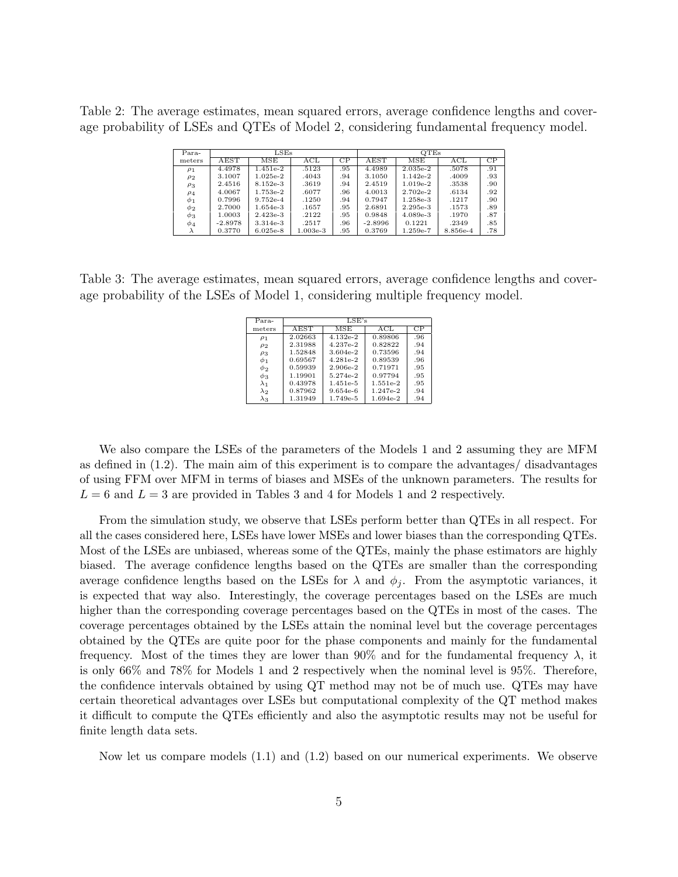Table 2: The average estimates, mean squared errors, average confidence lengths and coverage probability of LSEs and QTEs of Model 2, considering fundamental frequency model.

| Para-    | $_{\rm LSEs}$ |            |            | <b>OTEs</b> |           |            |          |     |
|----------|---------------|------------|------------|-------------|-----------|------------|----------|-----|
| meters   | ${\rm AEST}$  | MSE        | ACL        | СP          | AEST      | MSE        | ACL      | СP  |
| $\rho_1$ | 4.4978        | $1.451e-2$ | .5123      | .95         | 4.4989    | $2.035e-2$ | .5078    | .91 |
| $\rho_2$ | 3.1007        | $1.025e-2$ | .4043      | .94         | 3.1050    | $1.142e-2$ | .4009    | .93 |
| $\rho_3$ | 2.4516        | $8.152e-3$ | .3619      | .94         | 2.4519    | $1.019e-2$ | .3538    | .90 |
| $\rho_4$ | 4.0067        | 1.753e-2   | .6077      | .96         | 4.0013    | $2.702e-2$ | .6134    | .92 |
| $\phi_1$ | 0.7996        | $9.752e-4$ | .1250      | .94         | 0.7947    | $1.258e-3$ | .1217    | .90 |
| $\phi_2$ | 2.7000        | $1.654e-3$ | .1657      | .95         | 2.6891    | $2.295e-3$ | .1573    | .89 |
| $\phi_3$ | 1.0003        | $2.423e-3$ | .2122      | .95         | 0.9848    | $4.089e-3$ | .1970    | .87 |
| $\phi_4$ | $-2.8978$     | $3.314e-3$ | .2517      | .96         | $-2.8996$ | 0.1221     | .2349    | .85 |
|          | 0.3770        | $6.025e-8$ | $1.003e-3$ | .95         | 0.3769    | $1.259e-7$ | 8.856e-4 | .78 |

Table 3: The average estimates, mean squared errors, average confidence lengths and coverage probability of the LSEs of Model 1, considering multiple frequency model.

| Para-       | LSE's   |            |            |     |  |  |
|-------------|---------|------------|------------|-----|--|--|
| meters      | AEST    | MSE        | ACL        | CP  |  |  |
| $\rho_1$    | 2.02663 | 4.132e-2   | 0.89806    | .96 |  |  |
| $\rho_2$    | 2.31988 | 4.237e-2   | 0.82822    | .94 |  |  |
| $\rho_3$    | 1.52848 | $3.604e-2$ | 0.73596    | .94 |  |  |
| $\phi_1$    | 0.69567 | $4.281e-2$ | 0.89539    | .96 |  |  |
| $\phi_2$    | 0.59939 | $2.906e-2$ | 0.71971    | .95 |  |  |
| $\phi_3$    | 1.19901 | 5.274e-2   | 0.97794    | .95 |  |  |
| $\lambda_1$ | 0.43978 | $1.451e-5$ | $1.551e-2$ | .95 |  |  |
| $\lambda_2$ | 0.87962 | $9.654e-6$ | $1.247e-2$ | .94 |  |  |
| $\lambda_3$ | 1.31949 | 1.749e-5   | 1.694e-2   | .94 |  |  |

We also compare the LSEs of the parameters of the Models 1 and 2 assuming they are MFM as defined in (1.2). The main aim of this experiment is to compare the advantages/ disadvantages of using FFM over MFM in terms of biases and MSEs of the unknown parameters. The results for  $L = 6$  and  $L = 3$  are provided in Tables 3 and 4 for Models 1 and 2 respectively.

From the simulation study, we observe that LSEs perform better than QTEs in all respect. For all the cases considered here, LSEs have lower MSEs and lower biases than the corresponding QTEs. Most of the LSEs are unbiased, whereas some of the QTEs, mainly the phase estimators are highly biased. The average confidence lengths based on the QTEs are smaller than the corresponding average confidence lengths based on the LSEs for  $\lambda$  and  $\phi_i$ . From the asymptotic variances, it is expected that way also. Interestingly, the coverage percentages based on the LSEs are much higher than the corresponding coverage percentages based on the QTEs in most of the cases. The coverage percentages obtained by the LSEs attain the nominal level but the coverage percentages obtained by the QTEs are quite poor for the phase components and mainly for the fundamental frequency. Most of the times they are lower than 90% and for the fundamental frequency  $\lambda$ , it is only 66% and 78% for Models 1 and 2 respectively when the nominal level is 95%. Therefore, the confidence intervals obtained by using QT method may not be of much use. QTEs may have certain theoretical advantages over LSEs but computational complexity of the QT method makes it difficult to compute the QTEs efficiently and also the asymptotic results may not be useful for finite length data sets.

Now let us compare models (1.1) and (1.2) based on our numerical experiments. We observe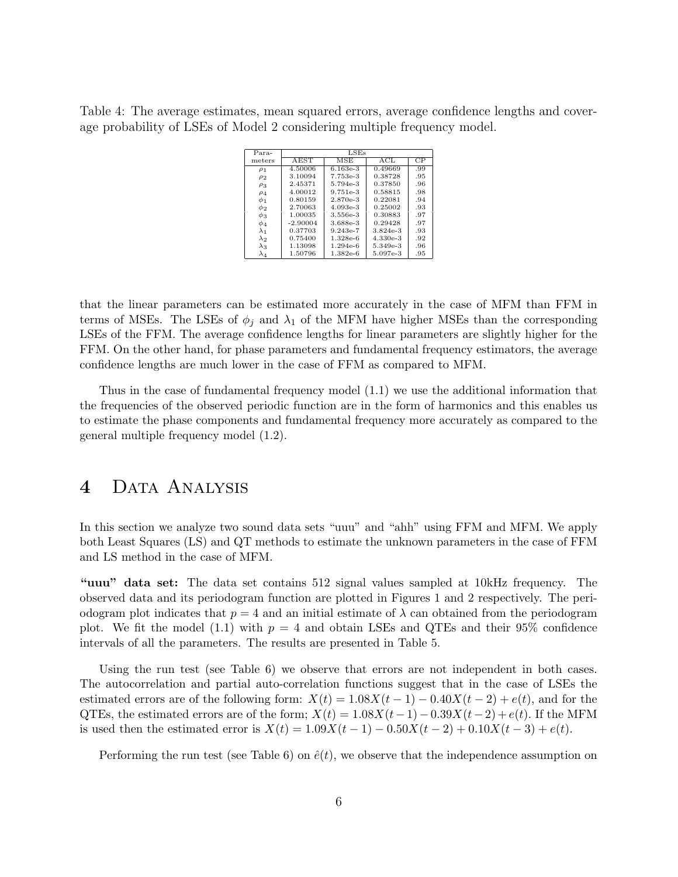Table 4: The average estimates, mean squared errors, average confidence lengths and coverage probability of LSEs of Model 2 considering multiple frequency model.

| Para-       | LSEs       |            |            |     |  |  |  |
|-------------|------------|------------|------------|-----|--|--|--|
| meters      | AEST       | MSE        | ACL        | CP  |  |  |  |
| $\rho_1$    | 4.50006    | $6.163e-3$ | 0.49669    | .99 |  |  |  |
| $\rho_2$    | 3.10094    | 7.753e-3   | 0.38728    | .95 |  |  |  |
| $\rho_3$    | 2.45371    | 5.794e-3   | 0.37850    | .96 |  |  |  |
| $\rho_4$    | 4.00012    | $9.751e-3$ | 0.58815    | .98 |  |  |  |
| $\phi_1$    | 0.80159    | 2.870e-3   | 0.22081    | .94 |  |  |  |
| $\phi_2$    | 2.70063    | $4.093e-3$ | 0.25002    | .93 |  |  |  |
| $\phi_3$    | 1.00035    | 3.556e-3   | 0.30883    | .97 |  |  |  |
| $\phi_4$    | $-2.90004$ | 3.688e-3   | 0.29428    | .97 |  |  |  |
| $\lambda_1$ | 0.37703    | $9.243e-7$ | $3.824e-3$ | .93 |  |  |  |
| $\lambda_2$ | 0.75400    | $1.328e-6$ | $4.330e-3$ | .92 |  |  |  |
| $\lambda_3$ | 1.13098    | $1.294e-6$ | 5.349e-3   | .96 |  |  |  |
| $\lambda_4$ | 1.50796    | $1.382e-6$ | 5.097e-3   | .95 |  |  |  |

that the linear parameters can be estimated more accurately in the case of MFM than FFM in terms of MSEs. The LSEs of  $\phi_i$  and  $\lambda_1$  of the MFM have higher MSEs than the corresponding LSEs of the FFM. The average confidence lengths for linear parameters are slightly higher for the FFM. On the other hand, for phase parameters and fundamental frequency estimators, the average confidence lengths are much lower in the case of FFM as compared to MFM.

Thus in the case of fundamental frequency model (1.1) we use the additional information that the frequencies of the observed periodic function are in the form of harmonics and this enables us to estimate the phase components and fundamental frequency more accurately as compared to the general multiple frequency model (1.2).

### 4 DATA ANALYSIS

In this section we analyze two sound data sets "uuu" and "ahh" using FFM and MFM. We apply both Least Squares (LS) and QT methods to estimate the unknown parameters in the case of FFM and LS method in the case of MFM.

"uuu" data set: The data set contains 512 signal values sampled at 10kHz frequency. The observed data and its periodogram function are plotted in Figures 1 and 2 respectively. The periodogram plot indicates that  $p = 4$  and an initial estimate of  $\lambda$  can obtained from the periodogram plot. We fit the model (1.1) with  $p = 4$  and obtain LSEs and QTEs and their 95% confidence intervals of all the parameters. The results are presented in Table 5.

Using the run test (see Table 6) we observe that errors are not independent in both cases. The autocorrelation and partial auto-correlation functions suggest that in the case of LSEs the estimated errors are of the following form:  $X(t) = 1.08X(t-1) - 0.40X(t-2) + e(t)$ , and for the QTEs, the estimated errors are of the form;  $X(t) = 1.08X(t-1) - 0.39X(t-2) + e(t)$ . If the MFM is used then the estimated error is  $X(t) = 1.09X(t - 1) - 0.50X(t - 2) + 0.10X(t - 3) + e(t)$ .

Performing the run test (see Table 6) on  $\hat{e}(t)$ , we observe that the independence assumption on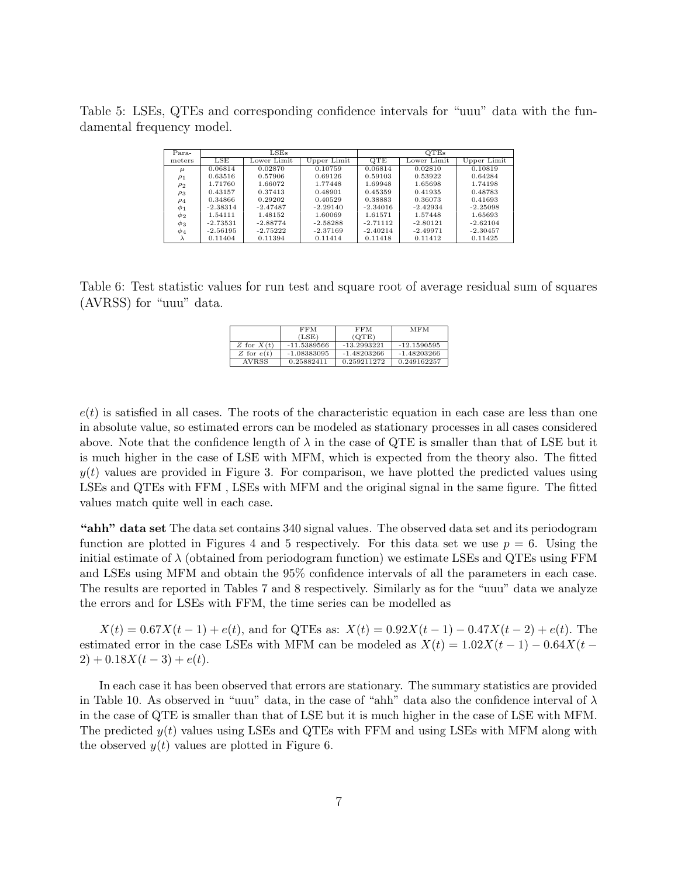Table 5: LSEs, QTEs and corresponding confidence intervals for "uuu" data with the fundamental frequency model.

| Para-       | $_{\rm LSEs}$ |             |             | <b>OTEs</b> |             |             |
|-------------|---------------|-------------|-------------|-------------|-------------|-------------|
| meters      | LSE           | Lower Limit | Upper Limit | QTE         | Lower Limit | Upper Limit |
| $\mu$       | 0.06814       | 0.02870     | 0.10759     | 0.06814     | 0.02810     | 0.10819     |
| $\rho_1$    | 0.63516       | 0.57906     | 0.69126     | 0.59103     | 0.53922     | 0.64284     |
| $\rho_2$    | 1.71760       | 1.66072     | 1.77448     | 1.69948     | 1.65698     | 1.74198     |
| $\rho_3$    | 0.43157       | 0.37413     | 0.48901     | 0.45359     | 0.41935     | 0.48783     |
| $\rho_4$    | 0.34866       | 0.29202     | 0.40529     | 0.38883     | 0.36073     | 0.41693     |
| $\varphi_1$ | $-2.38314$    | $-2.47487$  | $-2.29140$  | $-2.34016$  | $-2.42934$  | $-2.25098$  |
| $\phi_2$    | 1.54111       | 1.48152     | 1.60069     | 1.61571     | 1.57448     | 1.65693     |
| $\phi_3$    | $-2.73531$    | $-2.88774$  | $-2.58288$  | $-2.71112$  | $-2.80121$  | $-2.62104$  |
| $\phi_4$    | $-2.56195$    | $-2.75222$  | $-2.37169$  | $-2.40214$  | $-2.49971$  | $-2.30457$  |
| λ           | 0.11404       | 0.11394     | 0.11414     | 0.11418     | 0.11412     | 0.11425     |

Table 6: Test statistic values for run test and square root of average residual sum of squares (AVRSS) for "uuu" data.

|              | FFM           | <b>FFM</b>    | MFM           |
|--------------|---------------|---------------|---------------|
|              | (LSE)         | (OTE)         |               |
| Z for $X(t)$ | $-11.5389566$ | $-13.2993221$ | $-12.1590595$ |
| Z for $e(t)$ | $-1.08383095$ | $-1.48203266$ | $-1.48203266$ |
| <b>AVRSS</b> | 0.25882411    | 0.259211272   | 0.249162257   |

 $e(t)$  is satisfied in all cases. The roots of the characteristic equation in each case are less than one in absolute value, so estimated errors can be modeled as stationary processes in all cases considered above. Note that the confidence length of  $\lambda$  in the case of QTE is smaller than that of LSE but it is much higher in the case of LSE with MFM, which is expected from the theory also. The fitted  $y(t)$  values are provided in Figure 3. For comparison, we have plotted the predicted values using LSEs and QTEs with FFM , LSEs with MFM and the original signal in the same figure. The fitted values match quite well in each case.

"ahh" data set The data set contains 340 signal values. The observed data set and its periodogram function are plotted in Figures 4 and 5 respectively. For this data set we use  $p = 6$ . Using the initial estimate of  $\lambda$  (obtained from periodogram function) we estimate LSEs and QTEs using FFM and LSEs using MFM and obtain the 95% confidence intervals of all the parameters in each case. The results are reported in Tables 7 and 8 respectively. Similarly as for the "uuu" data we analyze the errors and for LSEs with FFM, the time series can be modelled as

 $X(t) = 0.67X(t-1) + e(t)$ , and for QTEs as:  $X(t) = 0.92X(t-1) - 0.47X(t-2) + e(t)$ . The estimated error in the case LSEs with MFM can be modeled as  $X(t) = 1.02X(t-1) - 0.64X(t-1)$  $2) + 0.18X(t-3) + e(t).$ 

In each case it has been observed that errors are stationary. The summary statistics are provided in Table 10. As observed in "uuu" data, in the case of "ahh" data also the confidence interval of  $\lambda$ in the case of QTE is smaller than that of LSE but it is much higher in the case of LSE with MFM. The predicted  $y(t)$  values using LSEs and QTEs with FFM and using LSEs with MFM along with the observed  $y(t)$  values are plotted in Figure 6.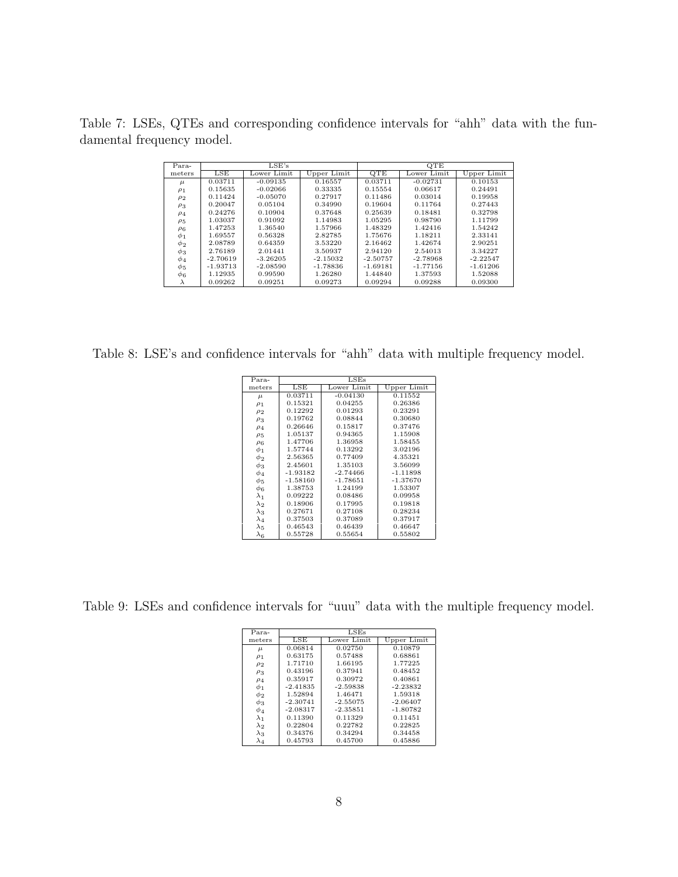Table 7: LSEs, QTEs and corresponding confidence intervals for "ahh" data with the fundamental frequency model.

| Para-     |            | LSE's       |             |            | QTE         |             |
|-----------|------------|-------------|-------------|------------|-------------|-------------|
|           |            |             |             |            |             |             |
| meters    | LSE        | Lower Limit | Upper Limit | QTE        | Lower Limit | Upper Limit |
| $\mu$     | 0.03711    | $-0.09135$  | 0.16557     | 0.03711    | $-0.02731$  | 0.10153     |
| $\rho_1$  | 0.15635    | $-0.02066$  | 0.33335     | 0.15554    | 0.06617     | 0.24491     |
| $\rho_2$  | 0.11424    | $-0.05070$  | 0.27917     | 0.11486    | 0.03014     | 0.19958     |
| $\rho_3$  | 0.20047    | 0.05104     | 0.34990     | 0.19604    | 0.11764     | 0.27443     |
| $\rho_4$  | 0.24276    | 0.10904     | 0.37648     | 0.25639    | 0.18481     | 0.32798     |
| $\rho_5$  | 1.03037    | 0.91092     | 1.14983     | 1.05295    | 0.98790     | 1.11799     |
| $\rho_6$  | 1.47253    | 1.36540     | 1.57966     | 1.48329    | 1.42416     | 1.54242     |
| $\phi_1$  | 1.69557    | 0.56328     | 2.82785     | 1.75676    | 1.18211     | 2.33141     |
| $\phi_2$  | 2.08789    | 0.64359     | 3.53220     | 2.16462    | 1.42674     | 2.90251     |
| $\phi_3$  | 2.76189    | 2.01441     | 3.50937     | 2.94120    | 2.54013     | 3.34227     |
| $\phi_4$  | $-2.70619$ | $-3.26205$  | $-2.15032$  | $-2.50757$ | $-2.78968$  | $-2.22547$  |
| $\phi_5$  | $-1.93713$ | $-2.08590$  | $-1.78836$  | $-1.69181$ | $-1.77156$  | $-1.61206$  |
| $\phi_6$  | 1.12935    | 0.99590     | 1.26280     | 1.44840    | 1.37593     | 1.52088     |
| $\lambda$ | 0.09262    | 0.09251     | 0.09273     | 0.09294    | 0.09288     | 0.09300     |

Table 8: LSE's and confidence intervals for "ahh" data with multiple frequency model.

| Para-       | LSEs       |             |             |  |  |  |
|-------------|------------|-------------|-------------|--|--|--|
| meters      | LSE        | Lower Limit | Upper Limit |  |  |  |
| $\mu$       | 0.03711    | $-0.04130$  | 0.11552     |  |  |  |
| $\rho_1$    | 0.15321    | 0.04255     | 0.26386     |  |  |  |
| $\rho_2$    | 0.12292    | 0.01293     | 0.23291     |  |  |  |
| $\rho_3$    | 0.19762    | 0.08844     | 0.30680     |  |  |  |
| $\rho_4$    | 0.26646    | 0.15817     | 0.37476     |  |  |  |
| $\rho_5$    | 1.05137    | 0.94365     | 1.15908     |  |  |  |
| $\rho_6$    | 1.47706    | 1.36958     | 1.58455     |  |  |  |
| $\phi_1$    | 1.57744    | 0.13292     | 3.02196     |  |  |  |
| $\phi_2$    | 2.56365    | 0.77409     | 4.35321     |  |  |  |
| $\phi_3$    | 2.45601    | 1.35103     | 3.56099     |  |  |  |
| $\phi_4$    | $-1.93182$ | $-2.74466$  | $-1.11898$  |  |  |  |
| $\phi_5$    | $-1.58160$ | $-1.78651$  | $-1.37670$  |  |  |  |
| Ф6          | 1.38753    | 1.24199     | 1.53307     |  |  |  |
| $\lambda_1$ | 0.09222    | 0.08486     | 0.09958     |  |  |  |
| $\lambda_2$ | 0.18906    | 0.17995     | 0.19818     |  |  |  |
| $\lambda_3$ | 0.27671    | 0.27108     | 0.28234     |  |  |  |
| $\lambda_4$ | 0.37503    | 0.37089     | 0.37917     |  |  |  |
| $\lambda_5$ | 0.46543    | 0.46439     | 0.46647     |  |  |  |
| $\lambda_6$ | 0.55728    | 0.55654     | 0.55802     |  |  |  |

Table 9: LSEs and confidence intervals for "uuu" data with the multiple frequency model.

| Para-       | LSEs       |             |             |  |  |  |
|-------------|------------|-------------|-------------|--|--|--|
| meters      | LSE        | Lower Limit | Upper Limit |  |  |  |
| $\mu$       | 0.06814    | 0.02750     | 0.10879     |  |  |  |
| $\rho_1$    | 0.63175    | 0.57488     | 0.68861     |  |  |  |
| $\rho_2$    | 1.71710    | 1.66195     | 1.77225     |  |  |  |
| $\rho_3$    | 0.43196    | 0.37941     | 0.48452     |  |  |  |
| $\rho_4$    | 0.35917    | 0.30972     | 0.40861     |  |  |  |
| $\phi_1$    | $-2.41835$ | $-2.59838$  | $-2.23832$  |  |  |  |
| $\phi_2$    | 1.52894    | 1.46471     | 1.59318     |  |  |  |
| $\phi_3$    | $-2.30741$ | $-2.55075$  | $-2.06407$  |  |  |  |
| $\phi_4$    | $-2.08317$ | $-2.35851$  | $-1.80782$  |  |  |  |
| $\lambda_1$ | 0.11390    | 0.11329     | 0.11451     |  |  |  |
| $\lambda_2$ | 0.22804    | 0.22782     | 0.22825     |  |  |  |
| $\lambda_3$ | 0.34376    | 0.34294     | 0.34458     |  |  |  |
| $\lambda_4$ | 0.45793    | 0.45700     | 0.45886     |  |  |  |